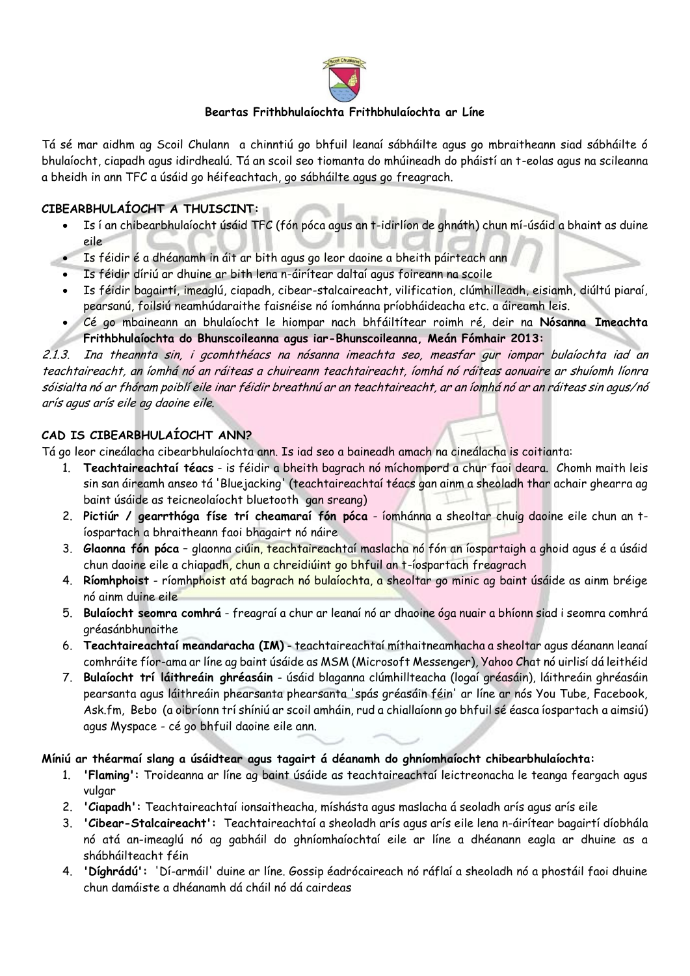

### **Beartas Frithbhulaíochta Frithbhulaíochta ar Líne**

Tá sé mar aidhm ag Scoil Chulann a chinntiú go bhfuil leanaí sábháilte agus go mbraitheann siad sábháilte ó bhulaíocht, ciapadh agus idirdhealú. Tá an scoil seo tiomanta do mhúineadh do pháistí an t-eolas agus na scileanna a bheidh in ann TFC a úsáid go héifeachtach, go sábháilte agus go freagrach.

### **CIBEARBHULAÍOCHT A THUISCINT:**

- Is í an chibearbhulaíocht úsáid TFC (fón póca agus an t-idirlíon de ghnáth) chun mí-úsáid a bhaint as duine eile
- Is féidir é a dhéanamh in áit ar bith agus go leor daoine a bheith páirteach ann
- Is féidir díriú ar dhuine ar bith lena n-áirítear daltaí agus foireann na scoile
- Is féidir bagairtí, imeaglú, ciapadh, cibear-stalcaireacht, vilification, clúmhilleadh, eisiamh, diúltú piaraí, pearsanú, foilsiú neamhúdaraithe faisnéise nó íomhánna príobháideacha etc. a áireamh leis.
- Cé go mbaineann an bhulaíocht le hiompar nach bhfáiltítear roimh ré, deir na **Nósanna Imeachta Frithbhulaíochta do Bhunscoileanna agus iar-Bhunscoileanna, Meán Fómhair 2013:**

2.1.3. Ina theannta sin, i gcomhthéacs na nósanna imeachta seo, measfar gur iompar bulaíochta iad an teachtaireacht, an íomhá nó an ráiteas a chuireann teachtaireacht, íomhá nó ráiteas aonuaire ar shuíomh líonra sóisialta nó ar fhóram poiblí eile inar féidir breathnú ar an teachtaireacht, ar an íomhá nó ar an ráiteas sin agus/nó arís agus arís eile ag daoine eile.

## **CAD IS CIBEARBHULAÍOCHT ANN?**

Tá go leor cineálacha cibearbhulaíochta ann. Is iad seo a baineadh amach na cineálacha is coitianta:

- 1. **Teachtaireachtaí téacs** is féidir a bheith bagrach nó míchompord a chur faoi deara. Chomh maith leis sin san áireamh anseo tá 'Bluejacking' (teachtaireachtaí téacs gan ainm a sheoladh thar achair ghearra ag baint úsáide as teicneolaíocht bluetooth gan sreang)
- 2. **Pictiúr / gearrthóga físe trí cheamaraí fón póca** íomhánna a sheoltar chuig daoine eile chun an tíospartach a bhraitheann faoi bhagairt nó náire
- 3. **Glaonna fón póca** glaonna ciúin, teachtaireachtaí maslacha nó fón an íospartaigh a ghoid agus é a úsáid chun daoine eile a chiapadh, chun a chreidiúint go bhfuil an t-íospartach freagrach
- 4. **Ríomhphoist** ríomhphoist atá bagrach nó bulaíochta, a sheoltar go minic ag baint úsáide as ainm bréige nó ainm duine eile
- 5. **Bulaíocht seomra comhrá** freagraí a chur ar leanaí nó ar dhaoine óga nuair a bhíonn siad i seomra comhrá gréasánbhunaithe
- 6. **Teachtaireachtaí meandaracha (IM)** teachtaireachtaí míthaitneamhacha a sheoltar agus déanann leanaí comhráite fíor-ama ar líne ag baint úsáide as MSM (Microsoft Messenger), Yahoo Chat nó uirlisí dá leithéid
- 7. **Bulaíocht trí láithreáin ghréasáin** úsáid blaganna clúmhillteacha (logaí gréasáin), láithreáin ghréasáin pearsanta agus láithreáin phearsanta phearsanta 'spás gréasáin féin' ar líne ar nós You Tube, Facebook, Ask.fm, Bebo (a oibríonn trí shíniú ar scoil amháin, rud a chiallaíonn go bhfuil sé éasca íospartach a aimsiú) agus Myspace - cé go bhfuil daoine eile ann.

### **Míniú ar théarmaí slang a úsáidtear agus tagairt á déanamh do ghníomhaíocht chibearbhulaíochta:**

- 1. **'Flaming':** Troideanna ar líne ag baint úsáide as teachtaireachtaí leictreonacha le teanga feargach agus vulgar
- 2. **'Ciapadh':** Teachtaireachtaí ionsaitheacha, míshásta agus maslacha á seoladh arís agus arís eile
- 3. **'Cibear-Stalcaireacht':** Teachtaireachtaí a sheoladh arís agus arís eile lena n-áirítear bagairtí díobhála nó atá an-imeaglú nó ag gabháil do ghníomhaíochtaí eile ar líne a dhéanann eagla ar dhuine as a shábháilteacht féin
- 4. **'Díghrádú':** 'Dí-armáil' duine ar líne. Gossip éadrócaireach nó ráflaí a sheoladh nó a phostáil faoi dhuine chun damáiste a dhéanamh dá cháil nó dá cairdeas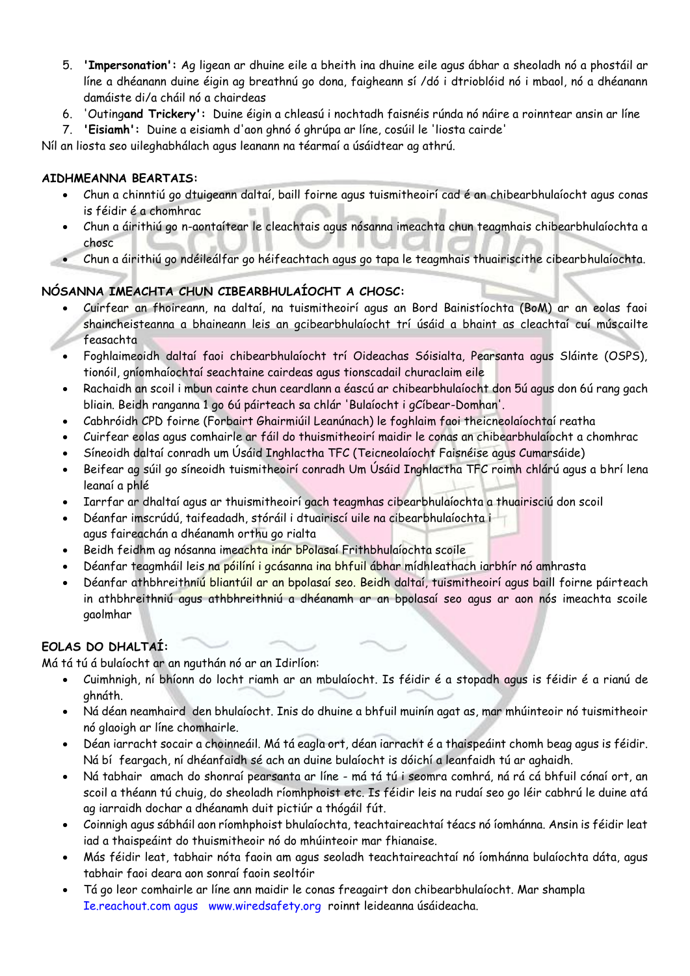- 5. **'Impersonation':** Ag ligean ar dhuine eile a bheith ina dhuine eile agus ábhar a sheoladh nó a phostáil ar líne a dhéanann duine éigin ag breathnú go dona, faigheann sí /dó i dtrioblóid nó i mbaol, nó a dhéanann damáiste di/a cháil nó a chairdeas
- 6. 'Outing**and Trickery':** Duine éigin a chleasú i nochtadh faisnéis rúnda nó náire a roinntear ansin ar líne
- 7. **'Eisiamh':** Duine a eisiamh d'aon ghnó ó ghrúpa ar líne, cosúil le 'liosta cairde'

Níl an liosta seo uileghabhálach agus leanann na téarmaí a úsáidtear ag athrú.

## **AIDHMEANNA BEARTAIS:**

- Chun a chinntiú go dtuigeann daltaí, baill foirne agus tuismitheoirí cad é an chibearbhulaíocht agus conas is féidir é a chomhrac
- Chun a áirithiú go n-aontaítear le cleachtais agus nósanna imeachta chun teagmhais chibearbhulaíochta a chosc
- Chun a áirithiú go ndéileálfar go héifeachtach agus go tapa le teagmhais thuairiscithe cibearbhulaíochta.

# **NÓSANNA IMEACHTA CHUN CIBEARBHULAÍOCHT A CHOSC:**

- Cuirfear an fhoireann, na daltaí, na tuismitheoirí agus an Bord Bainistíochta (BoM) ar an eolas faoi shaincheisteanna a bhaineann leis an gcibearbhulaíocht trí úsáid a bhaint as cleachtaí cuí múscailte feasachta
- Foghlaimeoidh daltaí faoi chibearbhulaíocht trí Oideachas Sóisialta, Pearsanta agus Sláinte (OSPS), tionóil, gníomhaíochtaí seachtaine cairdeas agus tionscadail churaclaim eile
- Rachaidh an scoil i mbun cainte chun ceardlann a éascú ar chibearbhulaíocht don 5ú agus don 6ú rang gach bliain. Beidh ranganna 1 go 6ú páirteach sa chlár 'Bulaíocht i gCíbear-Domhan'.
- Cabhróidh CPD foirne (Forbairt Ghairmiúil Leanúnach) le foghlaim faoi theicneolaíochtaí reatha
- Cuirfear eolas agus comhairle ar fáil do thuismitheoirí maidir le conas an chibearbhulaíocht a chomhrac
- Síneoidh daltaí conradh um Úsáid Inghlactha TFC (Teicneolaíocht Faisnéise agus Cumarsáide)
- Beifear ag súil go síneoidh tuismitheoirí conradh Um Úsáid Inghlactha TFC roimh chlárú agus a bhrí lena leanaí a phlé
- Iarrfar ar dhaltaí agus ar thuismitheoirí gach teagmhas cibearbhulaíochta a thuairisciú don scoil
- Déanfar imscrúdú, taifeadadh, stóráil i dtuairiscí uile na cibearbhulaíochta i agus faireachán a dhéanamh orthu go rialta
- Beidh feidhm ag nósanna imeachta inár bPolasaí Frithbhulaíochta scoile
- Déanfar teagmháil leis na póilíní i gcásanna ina bhfuil ábhar mídhleathach iarbhír nó amhrasta
- Déanfar athbhreithniú bliantúil ar an bpolasaí seo. Beidh daltaí, tuismitheoirí agus baill foirne páirteach in athbhreithniú agus athbhreithniú a dhéanamh ar an bpolasaí seo agus ar aon nós imeachta scoile gaolmhar

# **EOLAS DO DHALTAÍ:**

Má tá tú á bulaíocht ar an nguthán nó ar an Idirlíon:

- Cuimhnigh, ní bhíonn do locht riamh ar an mbulaíocht. Is féidir é a stopadh agus is féidir é a rianú de ghnáth.
- Ná déan neamhaird den bhulaíocht. Inis do dhuine a bhfuil muinín agat as, mar mhúinteoir nó tuismitheoir nó glaoigh ar líne chomhairle.
- Déan iarracht socair a choinneáil. Má tá eagla ort, déan iarracht é a thaispeáint chomh beag agus is féidir. Ná bí feargach, ní dhéanfaidh sé ach an duine bulaíocht is dóichí a leanfaidh tú ar aghaidh.
- Ná tabhair amach do shonraí pearsanta ar líne má tá tú i seomra comhrá, ná rá cá bhfuil cónaí ort, an scoil a théann tú chuig, do sheoladh ríomhphoist etc. Is féidir leis na rudaí seo go léir cabhrú le duine atá ag iarraidh dochar a dhéanamh duit pictiúr a thógáil fút.
- Coinnigh agus sábháil aon ríomhphoist bhulaíochta, teachtaireachtaí téacs nó íomhánna. Ansin is féidir leat iad a thaispeáint do thuismitheoir nó do mhúinteoir mar fhianaise.
- Más féidir leat, tabhair nóta faoin am agus seoladh teachtaireachtaí nó íomhánna bulaíochta dáta, agus tabhair faoi deara aon sonraí faoin seoltóir
- Tá go leor comhairle ar líne ann maidir le conas freagairt don chibearbhulaíocht. Mar shampla Ie.reachout.com agus www.wiredsafety.org roinnt leideanna úsáideacha.